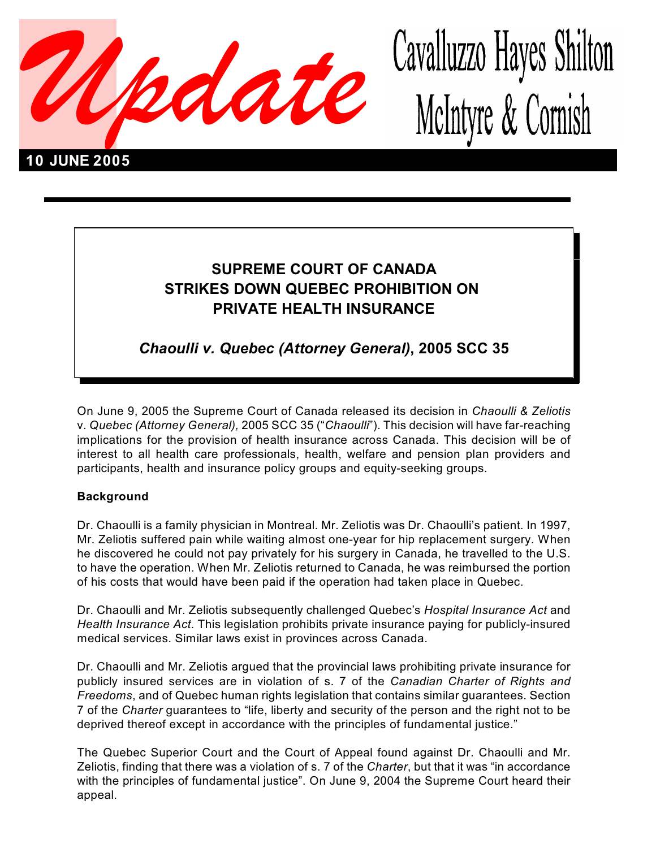

# Cavalluzzo Hayes Shilton McIntyre & Cornish

## **SUPREME COURT OF CANADA STRIKES DOWN QUEBEC PROHIBITION ON PRIVATE HEALTH INSURANCE**

*Chaoulli v. Quebec (Attorney General)***, 2005 SCC 35**

On June 9, 2005 the Supreme Court of Canada released its decision in *Chaoulli & Zeliotis* v. *Quebec (Attorney General),* 2005 SCC 35 ("*Chaoulli*"). This decision will have far-reaching implications for the provision of health insurance across Canada. This decision will be of interest to all health care professionals, health, welfare and pension plan providers and participants, health and insurance policy groups and equity-seeking groups.

#### **Background**

Dr. Chaoulli is a family physician in Montreal. Mr. Zeliotis was Dr. Chaoulli's patient. In 1997, Mr. Zeliotis suffered pain while waiting almost one-year for hip replacement surgery. When he discovered he could not pay privately for his surgery in Canada, he travelled to the U.S. to have the operation. When Mr. Zeliotis returned to Canada, he was reimbursed the portion of his costs that would have been paid if the operation had taken place in Quebec.

Dr. Chaoulli and Mr. Zeliotis subsequently challenged Quebec's *Hospital Insurance Act* and *Health Insurance Act*. This legislation prohibits private insurance paying for publicly-insured medical services. Similar laws exist in provinces across Canada.

Dr. Chaoulli and Mr. Zeliotis argued that the provincial laws prohibiting private insurance for publicly insured services are in violation of s. 7 of the *Canadian Charter of Rights and Freedoms*, and of Quebec human rights legislation that contains similar guarantees. Section 7 of the *Charter* guarantees to "life, liberty and security of the person and the right not to be deprived thereof except in accordance with the principles of fundamental justice."

The Quebec Superior Court and the Court of Appeal found against Dr. Chaoulli and Mr. Zeliotis, finding that there was a violation of s. 7 of the *Charter*, but that it was "in accordance with the principles of fundamental justice". On June 9, 2004 the Supreme Court heard their appeal.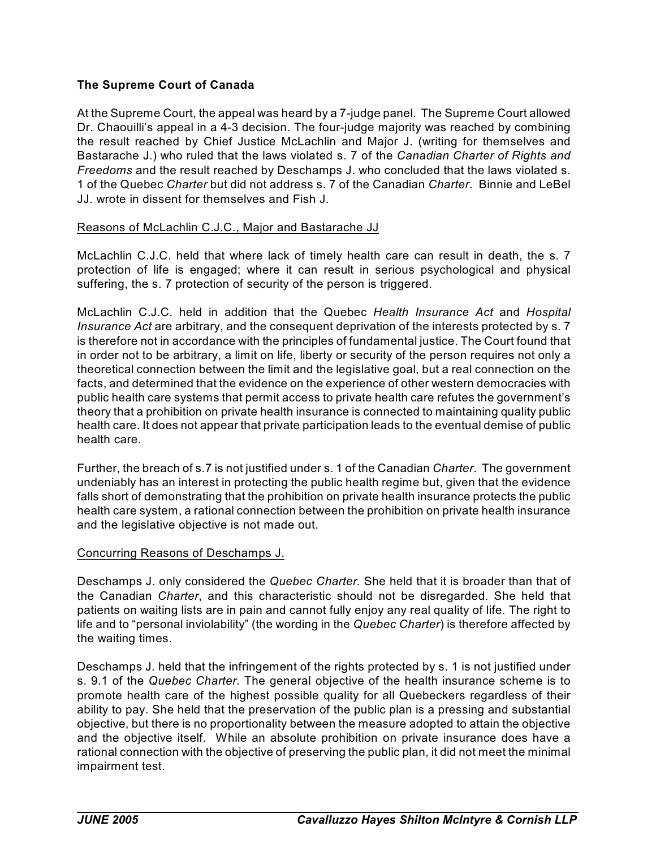#### **The Supreme Court of Canada**

At the Supreme Court, the appeal was heard by a 7-judge panel. The Supreme Court allowed Dr. Chaouilli's appeal in a 4-3 decision. The four-judge majority was reached by combining the result reached by Chief Justice McLachlin and Major J. (writing for themselves and Bastarache J.) who ruled that the laws violated s. 7 of the *Canadian Charter of Rights and Freedoms* and the result reached by Deschamps J. who concluded that the laws violated s. 1 of the Quebec *Charter* but did not address s. 7 of the Canadian *Charter*. Binnie and LeBel JJ. wrote in dissent for themselves and Fish J.

#### Reasons of McLachlin C.J.C., Major and Bastarache JJ

McLachlin C.J.C. held that where lack of timely health care can result in death, the s. 7 protection of life is engaged; where it can result in serious psychological and physical suffering, the s. 7 protection of security of the person is triggered.

McLachlin C.J.C. held in addition that the Quebec *Health Insurance Act* and *Hospital Insurance Act* are arbitrary, and the consequent deprivation of the interests protected by s. 7 is therefore not in accordance with the principles of fundamental justice. The Court found that in order not to be arbitrary, a limit on life, liberty or security of the person requires not only a theoretical connection between the limit and the legislative goal, but a real connection on the facts, and determined that the evidence on the experience of other western democracies with public health care systems that permit access to private health care refutes the government's theory that a prohibition on private health insurance is connected to maintaining quality public health care. It does not appear that private participation leads to the eventual demise of public health care.

Further, the breach of s.7 is not justified under s. 1 of the Canadian *Charter*. The government undeniably has an interest in protecting the public health regime but, given that the evidence falls short of demonstrating that the prohibition on private health insurance protects the public health care system, a rational connection between the prohibition on private health insurance and the legislative objective is not made out.

#### Concurring Reasons of Deschamps J.

Deschamps J. only considered the *Quebec Charter.* She held that it is broader than that of the Canadian *Charter*, and this characteristic should not be disregarded. She held that patients on waiting lists are in pain and cannot fully enjoy any real quality of life. The right to life and to "personal inviolability" (the wording in the *Quebec Charter*) is therefore affected by the waiting times.

Deschamps J. held that the infringement of the rights protected by s. 1 is not justified under s. 9.1 of the *Quebec Charter*. The general objective of the health insurance scheme is to promote health care of the highest possible quality for all Quebeckers regardless of their ability to pay. She held that the preservation of the public plan is a pressing and substantial objective, but there is no proportionality between the measure adopted to attain the objective and the objective itself. While an absolute prohibition on private insurance does have a rational connection with the objective of preserving the public plan, it did not meet the minimal impairment test.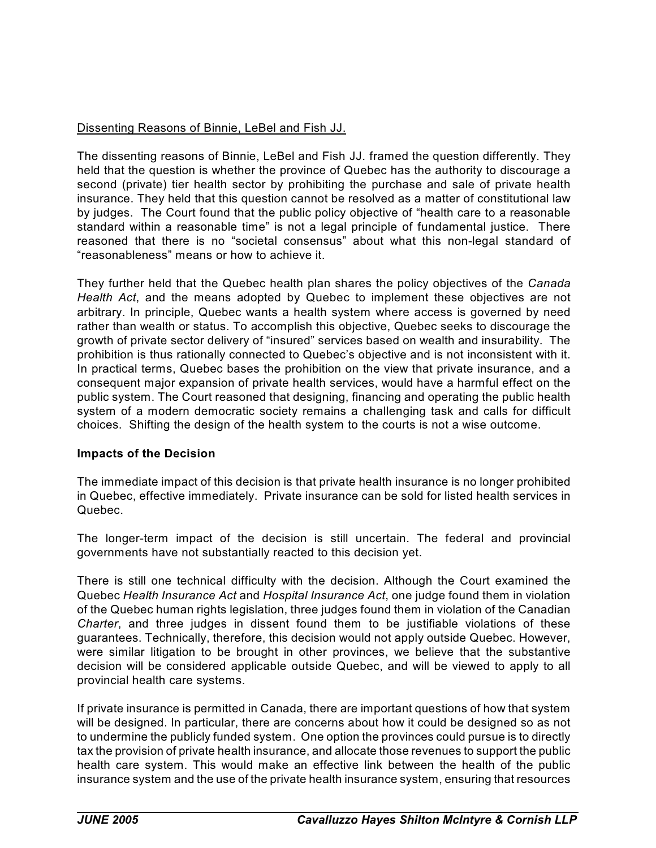### Dissenting Reasons of Binnie, LeBel and Fish JJ.

The dissenting reasons of Binnie, LeBel and Fish JJ. framed the question differently. They held that the question is whether the province of Quebec has the authority to discourage a second (private) tier health sector by prohibiting the purchase and sale of private health insurance. They held that this question cannot be resolved as a matter of constitutional law by judges. The Court found that the public policy objective of "health care to a reasonable standard within a reasonable time" is not a legal principle of fundamental justice. There reasoned that there is no "societal consensus" about what this non-legal standard of "reasonableness" means or how to achieve it.

They further held that the Quebec health plan shares the policy objectives of the *Canada Health Act*, and the means adopted by Quebec to implement these objectives are not arbitrary. In principle, Quebec wants a health system where access is governed by need rather than wealth or status. To accomplish this objective, Quebec seeks to discourage the growth of private sector delivery of "insured" services based on wealth and insurability. The prohibition is thus rationally connected to Quebec's objective and is not inconsistent with it. In practical terms, Quebec bases the prohibition on the view that private insurance, and a consequent major expansion of private health services, would have a harmful effect on the public system. The Court reasoned that designing, financing and operating the public health system of a modern democratic society remains a challenging task and calls for difficult choices. Shifting the design of the health system to the courts is not a wise outcome.

#### **Impacts of the Decision**

The immediate impact of this decision is that private health insurance is no longer prohibited in Quebec, effective immediately. Private insurance can be sold for listed health services in Quebec.

The longer-term impact of the decision is still uncertain. The federal and provincial governments have not substantially reacted to this decision yet.

There is still one technical difficulty with the decision. Although the Court examined the Quebec *Health Insurance Act* and *Hospital Insurance Act*, one judge found them in violation of the Quebec human rights legislation, three judges found them in violation of the Canadian *Charter*, and three judges in dissent found them to be justifiable violations of these guarantees. Technically, therefore, this decision would not apply outside Quebec. However, were similar litigation to be brought in other provinces, we believe that the substantive decision will be considered applicable outside Quebec, and will be viewed to apply to all provincial health care systems.

If private insurance is permitted in Canada, there are important questions of how that system will be designed. In particular, there are concerns about how it could be designed so as not to undermine the publicly funded system. One option the provinces could pursue is to directly tax the provision of private health insurance, and allocate those revenues to support the public health care system. This would make an effective link between the health of the public insurance system and the use of the private health insurance system, ensuring that resources